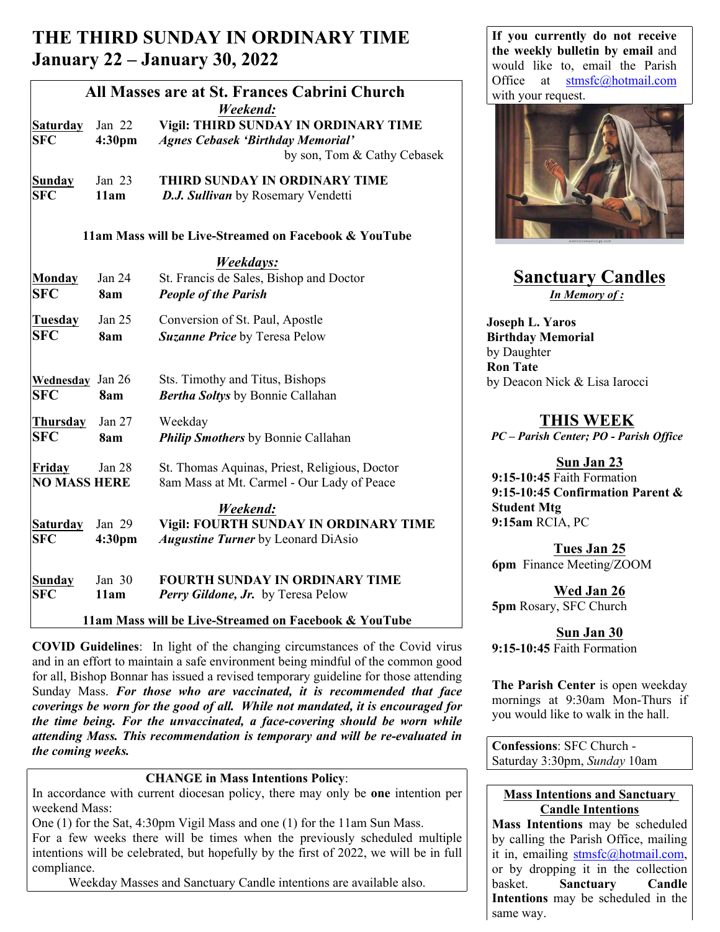# **THE THIRD SUNDAY IN ORDINARY TIME January 22 – January 30, 2022**

| <b>Saturday</b><br><b>SFC</b><br><b>Sunday</b><br><b>SFC</b> | Jan 22<br>4:30pm<br>Jan 23<br>11am | All Masses are at St. Frances Cabrini Church<br>Weekend:<br>Vigil: THIRD SUNDAY IN ORDINARY TIME<br><b>Agnes Cebasek 'Birthday Memorial'</b><br>by son, Tom & Cathy Cebasek<br>THIRD SUNDAY IN ORDINARY TIME<br>D.J. Sullivan by Rosemary Vendetti | UIIIce at<br>$sumsrc(a)$ notmail.com<br>with your request.                       |
|--------------------------------------------------------------|------------------------------------|----------------------------------------------------------------------------------------------------------------------------------------------------------------------------------------------------------------------------------------------------|----------------------------------------------------------------------------------|
|                                                              |                                    | 11am Mass will be Live-Streamed on Facebook & YouTube                                                                                                                                                                                              |                                                                                  |
| Monday<br><b>SFC</b>                                         | Jan 24<br>8am                      | Weekdays:<br>St. Francis de Sales, Bishop and Doctor<br><b>People of the Parish</b>                                                                                                                                                                | <b>Sanctuary Candles</b><br>In Memory of:                                        |
| Tuesday<br><b>SFC</b>                                        | Jan 25<br>8am                      | Conversion of St. Paul, Apostle<br>Suzanne Price by Teresa Pelow                                                                                                                                                                                   | <b>Joseph L. Yaros</b><br><b>Birthday Memorial</b><br>by Daughter                |
| <b>Wednesday</b> Jan 26<br> SFC                              | 8am                                | Sts. Timothy and Titus, Bishops<br><b>Bertha Soltys</b> by Bonnie Callahan                                                                                                                                                                         | <b>Ron Tate</b><br>by Deacon Nick & Lisa Iarocci                                 |
| Thursday<br> SFC                                             | Jan 27<br>8am                      | Weekday<br><b>Philip Smothers</b> by Bonnie Callahan                                                                                                                                                                                               | <b>THIS WEEK</b><br>PC - Parish Center; PO - Parish Office                       |
| Friday<br><b>NO MASS HERE</b>                                | Jan 28                             | St. Thomas Aquinas, Priest, Religious, Doctor<br>8am Mass at Mt. Carmel - Our Lady of Peace                                                                                                                                                        | Sun Jan 23<br>$9:15-10:45$ Faith Formation<br>9:15-10:45 Confirmation Parent &   |
| <b>Saturday</b><br> SFC                                      | Jan 29<br>4:30 <sub>pm</sub>       | Weekend:<br>Vigil: FOURTH SUNDAY IN ORDINARY TIME<br><b>Augustine Turner</b> by Leonard DiAsio                                                                                                                                                     | <b>Student Mtg</b><br>9:15am RCIA, PC<br>Tues Jan 25<br>6pm Finance Meeting/ZOOM |
| <b>Sunday</b><br><b>SFC</b>                                  | Jan 30<br>11am                     | <b>FOURTH SUNDAY IN ORDINARY TIME</b><br>Perry Gildone, Jr. by Teresa Pelow<br>11am Mass will be Live-Streamed on Facebook & YouTube                                                                                                               | Wed Jan 26<br>5pm Rosary, SFC Church                                             |

**COVID Guidelines**: In light of the changing circumstances of the Covid virus and in an effort to maintain a safe environment being mindful of the common good for all, Bishop Bonnar has issued a revised temporary guideline for those attending Sunday Mass. *For those who are vaccinated, it is recommended that face coverings be worn for the good of all. While not mandated, it is encouraged for the time being. For the unvaccinated, a face-covering should be worn while attending Mass. This recommendation is temporary and will be re-evaluated in the coming weeks.*

#### **CHANGE in Mass Intentions Policy**:

In accordance with current diocesan policy, there may only be **one** intention per weekend Mass:

One (1) for the Sat, 4:30pm Vigil Mass and one (1) for the 11am Sun Mass. For a few weeks there will be times when the previously scheduled multiple intentions will be celebrated, but hopefully by the first of 2022, we will be in full  $\left| \begin{array}{c} 0 \ 1 \end{array} \right|$  it in, emailing stmsfc@hotmail.com, compliance.

Weekday Masses and Sanctuary Candle intentions are available also.

**If you currently do not receive the weekly bulletin by email** and would like to, email the Parish Office at stmsfc@hotmail.com with your request.



## **Sanctuary Candles** *In Memory of :*

## **THIS WEEK**

## **Sun Jan 23**

**Sun Jan 30 9:15-10:45** Faith Formation

**The Parish Center** is open weekday mornings at 9:30am Mon-Thurs if you would like to walk in the hall.

**Confessions**: SFC Church - Saturday 3:30pm, *Sunday* 10am

### **Mass Intentions and Sanctuary Candle Intentions**

**Mass Intentions** may be scheduled by calling the Parish Office, mailing or by dropping it in the collection basket. **Sanctuary Candle Intentions** may be scheduled in the same way.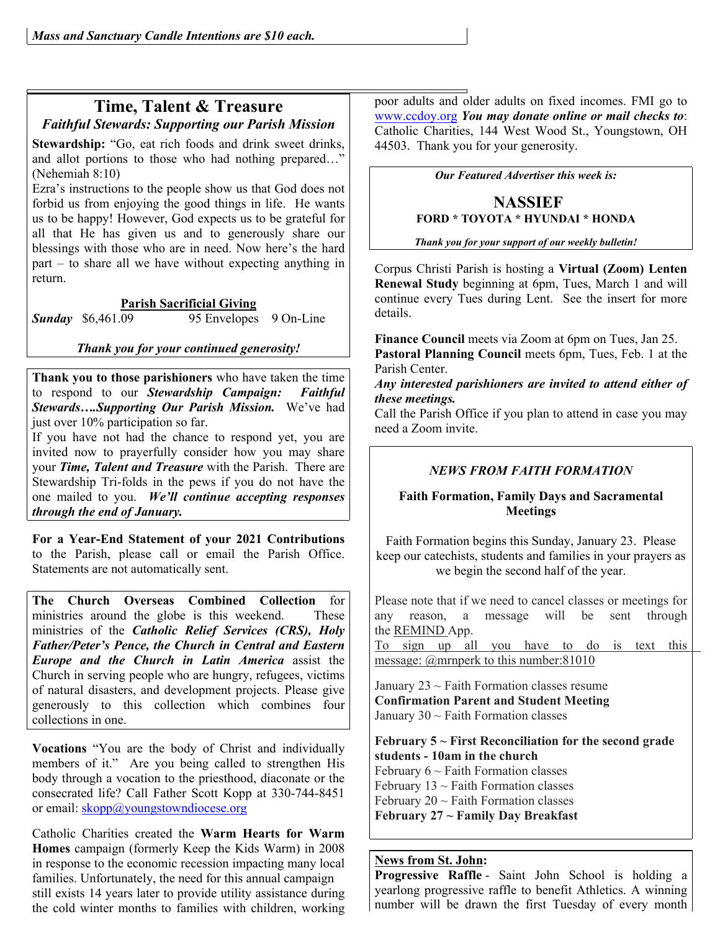### **Time, Talent & Treasure** *Faithful Stewards: Supporting our Parish Mission*

Stewardship: "Go, eat rich foods and drink sweet drinks, and allot portions to those who had nothing prepared…" (Nehemiah 8:10)

Ezra's instructions to the people show us that God does not forbid us from enjoying the good things in life. He wants us to be happy! However, God expects us to be grateful for all that He has given us and to generously share our blessings with those who are in need. Now here's the hard part – to share all we have without expecting anything in return.

#### **Parish Sacrificial Giving**

**Sunday** \$6,461.09 95 Envelopes 9 On-Line

*Thank you for your continued generosity!*

**Thank you to those parishioners** who have taken the time to respond to our *Stewardship Campaign: Faithful Stewards….Supporting Our Parish Mission.* We've had just over 10% participation so far.

If you have not had the chance to respond yet, you are invited now to prayerfully consider how you may share your *Time, Talent and Treasure* with the Parish. There are Stewardship Tri-folds in the pews if you do not have the one mailed to you. *We'll continue accepting responses through the end of January.* 

**For a Year-End Statement of your 2021 Contributions**  to the Parish, please call or email the Parish Office. Statements are not automatically sent.

**The Church Overseas Combined Collection** for ministries around the globe is this weekend. These ministries of the *Catholic Relief Services (CRS), Holy Father/Peter's Pence, the Church in Central and Eastern Europe and the Church in Latin America* assist the Church in serving people who are hungry, refugees, victims of natural disasters, and development projects. Please give generously to this collection which combines four collections in one.

**Vocations** "You are the body of Christ and individually members of it." Are you being called to strengthen His body through a vocation to the priesthood, diaconate or the consecrated life? Call Father Scott Kopp at 330-744-8451 or email: skopp@youngstowndiocese.org

Catholic Charities created the **Warm Hearts for Warm Homes** campaign (formerly Keep the Kids Warm) in 2008 in response to the economic recession impacting many local families. Unfortunately, the need for this annual campaign still exists 14 years later to provide utility assistance during the cold winter months to families with children, working poor adults and older adults on fixed incomes. FMI go to www.ccdoy.org *You may donate online or mail checks to*: Catholic Charities, 144 West Wood St., Youngstown, OH 44503. Thank you for your generosity.

*Our Featured Advertiser this week is:*

#### **NASSIEF FORD \* TOYOTA \* HYUNDAI \* HONDA**

*Thank you for your support of our weekly bulletin!*

Corpus Christi Parish is hosting a **Virtual (Zoom) Lenten Renewal Study** beginning at 6pm, Tues, March 1 and will continue every Tues during Lent. See the insert for more details.

**Finance Council** meets via Zoom at 6pm on Tues, Jan 25. **Pastoral Planning Council** meets 6pm, Tues, Feb. 1 at the Parish Center.

#### *Any interested parishioners are invited to attend either of these meetings.*

Call the Parish Office if you plan to attend in case you may need a Zoom invite.

### *NEWS FROM FAITH FORMATION*

#### **Faith Formation, Family Days and Sacramental Meetings**

Faith Formation begins this Sunday, January 23. Please keep our catechists, students and families in your prayers as we begin the second half of the year.

Please note that if we need to cancel classes or meetings for any reason, a message will be sent through the REMIND App.

To sign up all you have to do is text this message: @mrnperk to this number:81010

January  $23 \sim$  Faith Formation classes resume **Confirmation Parent and Student Meeting** January  $30 \sim$  Faith Formation classes

**February 5 ~ First Reconciliation for the second grade students - 10am in the church** February  $6 \sim$  Faith Formation classes February  $13 \sim$  Faith Formation classes February  $20 \sim$  Faith Formation classes **February 27 ~ Family Day Breakfast**

#### **News from St. John:**

Progressive Raffle - Saint John School is holding a yearlong progressive raffle to benefit Athletics. A winning number will be drawn the first Tuesday of every month